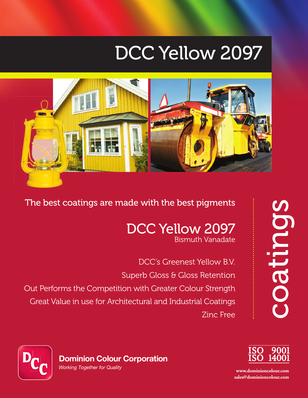# DCC Yellow 2097



The best coatings are made with the best pigments

### DCC Yellow 2097 Bismuth Vanadate

DCC's Greenest Yellow B.V. Superb Gloss & Gloss Retention Out Performs the Competition with Greater Colour Strength Great Value in use for Architectural and Industrial Coatings Zinc Free





**www.dominioncolour.com sales@dominioncolour.com**

**Dominion Colour Corporation** *Working Together for Quality*